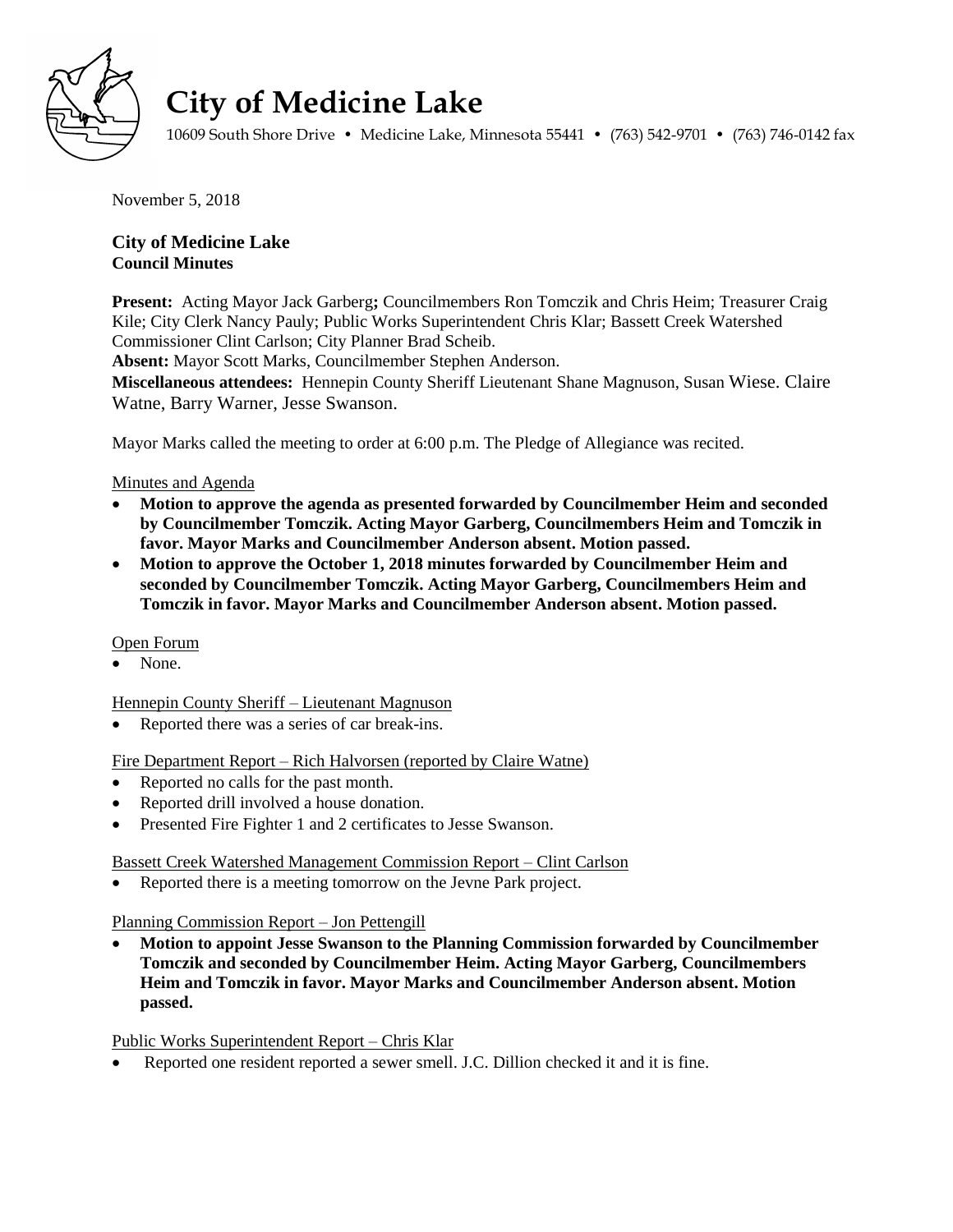

# **City of Medicine Lake**

10609 South Shore Drive • Medicine Lake, Minnesota 55441 • (763) 542-9701 • (763) 746-0142 fax

November 5, 2018

**City of Medicine Lake Council Minutes** 

**Present:** Acting Mayor Jack Garberg**;** Councilmembers Ron Tomczik and Chris Heim; Treasurer Craig Kile; City Clerk Nancy Pauly; Public Works Superintendent Chris Klar; Bassett Creek Watershed Commissioner Clint Carlson; City Planner Brad Scheib.

**Absent:** Mayor Scott Marks, Councilmember Stephen Anderson.

**Miscellaneous attendees:** Hennepin County Sheriff Lieutenant Shane Magnuson, Susan Wiese. Claire Watne, Barry Warner, Jesse Swanson.

Mayor Marks called the meeting to order at 6:00 p.m. The Pledge of Allegiance was recited.

Minutes and Agenda

- **Motion to approve the agenda as presented forwarded by Councilmember Heim and seconded by Councilmember Tomczik. Acting Mayor Garberg, Councilmembers Heim and Tomczik in favor. Mayor Marks and Councilmember Anderson absent. Motion passed.**
- **Motion to approve the October 1, 2018 minutes forwarded by Councilmember Heim and seconded by Councilmember Tomczik. Acting Mayor Garberg, Councilmembers Heim and Tomczik in favor. Mayor Marks and Councilmember Anderson absent. Motion passed.**

### Open Forum

• None.

Hennepin County Sheriff – Lieutenant Magnuson

Reported there was a series of car break-ins.

Fire Department Report – Rich Halvorsen (reported by Claire Watne)

- Reported no calls for the past month.
- Reported drill involved a house donation.
- Presented Fire Fighter 1 and 2 certificates to Jesse Swanson.

### Bassett Creek Watershed Management Commission Report – Clint Carlson

Reported there is a meeting tomorrow on the Jevne Park project.

Planning Commission Report – Jon Pettengill

 **Motion to appoint Jesse Swanson to the Planning Commission forwarded by Councilmember Tomczik and seconded by Councilmember Heim. Acting Mayor Garberg, Councilmembers Heim and Tomczik in favor. Mayor Marks and Councilmember Anderson absent. Motion passed.**

Public Works Superintendent Report – Chris Klar

Reported one resident reported a sewer smell. J.C. Dillion checked it and it is fine.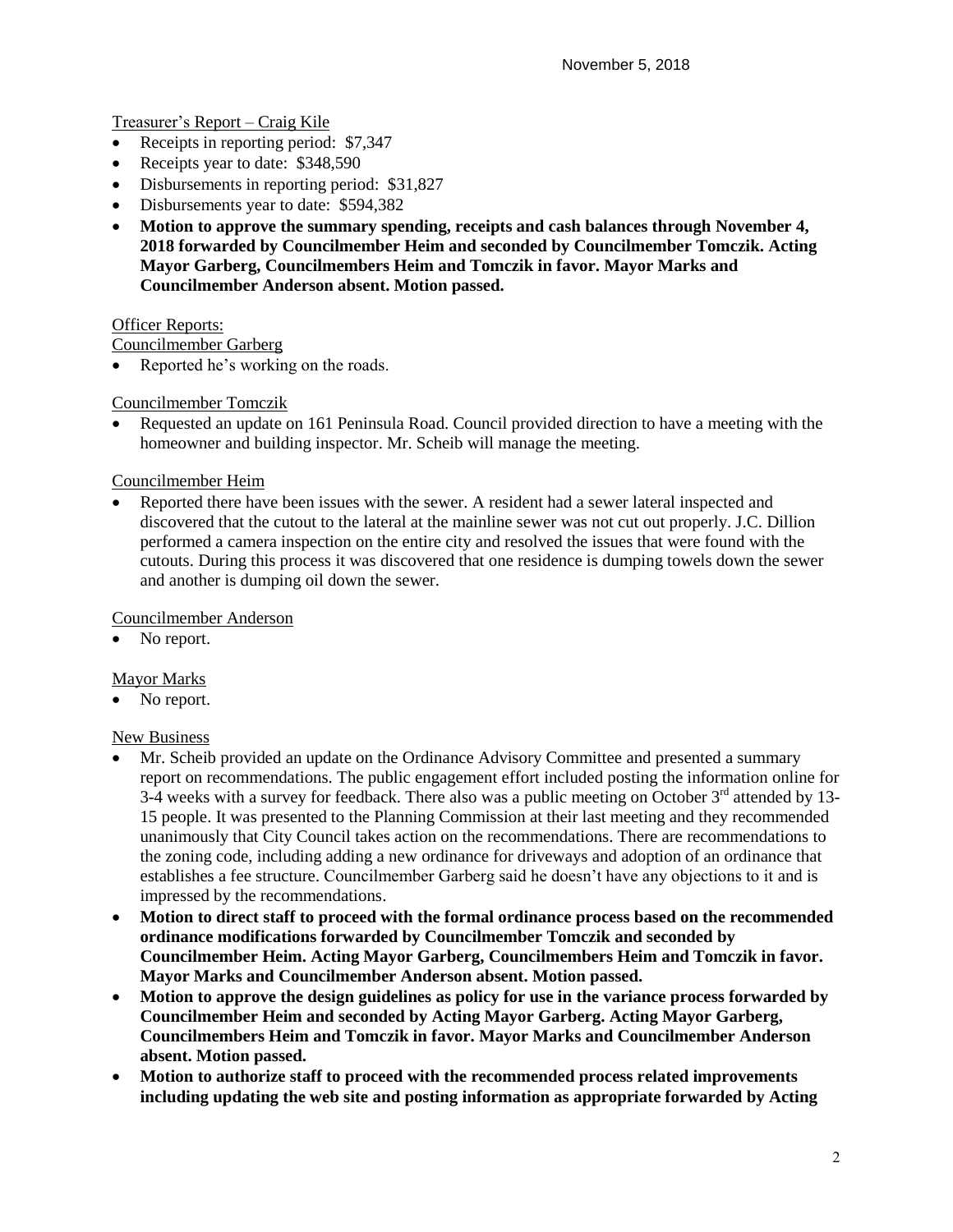## Treasurer's Report – Craig Kile

- Receipts in reporting period: \$7,347
- Receipts year to date: \$348,590
- Disbursements in reporting period: \$31,827
- Disbursements year to date: \$594,382
- **Motion to approve the summary spending, receipts and cash balances through November 4, 2018 forwarded by Councilmember Heim and seconded by Councilmember Tomczik. Acting Mayor Garberg, Councilmembers Heim and Tomczik in favor. Mayor Marks and Councilmember Anderson absent. Motion passed.**

### **Officer Reports:**

Councilmember Garberg

Reported he's working on the roads.

### Councilmember Tomczik

 Requested an update on 161 Peninsula Road. Council provided direction to have a meeting with the homeowner and building inspector. Mr. Scheib will manage the meeting.

### Councilmember Heim

 Reported there have been issues with the sewer. A resident had a sewer lateral inspected and discovered that the cutout to the lateral at the mainline sewer was not cut out properly. J.C. Dillion performed a camera inspection on the entire city and resolved the issues that were found with the cutouts. During this process it was discovered that one residence is dumping towels down the sewer and another is dumping oil down the sewer.

### Councilmember Anderson

• No report.

### Mayor Marks

No report.

#### New Business

- Mr. Scheib provided an update on the Ordinance Advisory Committee and presented a summary report on recommendations. The public engagement effort included posting the information online for  $3-4$  weeks with a survey for feedback. There also was a public meeting on October  $3<sup>rd</sup>$  attended by 13-15 people. It was presented to the Planning Commission at their last meeting and they recommended unanimously that City Council takes action on the recommendations. There are recommendations to the zoning code, including adding a new ordinance for driveways and adoption of an ordinance that establishes a fee structure. Councilmember Garberg said he doesn't have any objections to it and is impressed by the recommendations.
- **Motion to direct staff to proceed with the formal ordinance process based on the recommended ordinance modifications forwarded by Councilmember Tomczik and seconded by Councilmember Heim. Acting Mayor Garberg, Councilmembers Heim and Tomczik in favor. Mayor Marks and Councilmember Anderson absent. Motion passed.**
- **Motion to approve the design guidelines as policy for use in the variance process forwarded by Councilmember Heim and seconded by Acting Mayor Garberg. Acting Mayor Garberg, Councilmembers Heim and Tomczik in favor. Mayor Marks and Councilmember Anderson absent. Motion passed.**
- **Motion to authorize staff to proceed with the recommended process related improvements including updating the web site and posting information as appropriate forwarded by Acting**